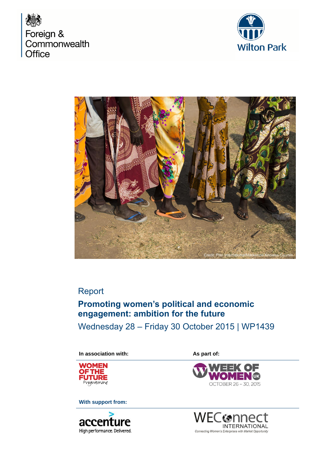





# Report

# **Promoting women's political and economic engagement: ambition for the future**

Wednesday 28 – Friday 30 October 2015 | WP1439

**In association with:** As part of:



**With support from:** 





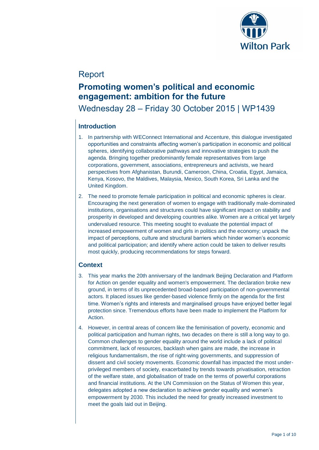

# Report

## **Promoting women's political and economic engagement: ambition for the future**

Wednesday 28 – Friday 30 October 2015 | WP1439

## **Introduction**

- 1. In partnership with WEConnect International and Accenture, this dialogue investigated opportunities and constraints affecting women's participation in economic and political spheres, identifying collaborative pathways and innovative strategies to push the agenda. Bringing together predominantly female representatives from large corporations, government, associations, entrepreneurs and activists, we heard perspectives from Afghanistan, Burundi, Cameroon, China, Croatia, Egypt, Jamaica, Kenya, Kosovo, the Maldives, Malaysia, Mexico, South Korea, Sri Lanka and the United Kingdom.
- 2. The need to promote female participation in political and economic spheres is clear. Encouraging the next generation of women to engage with traditionally male-dominated institutions, organisations and structures could have significant impact on stability and prosperity in developed and developing countries alike. Women are a critical yet largely undervalued resource. This meeting sought to evaluate the potential impact of increased empowerment of women and girls in politics and the economy; unpack the impact of perceptions, culture and structural barriers which hinder women's economic and political participation; and identify where action could be taken to deliver results most quickly, producing recommendations for steps forward.

### **Context**

- 3. This year marks the 20th anniversary of the landmark Beijing Declaration and Platform for Action on gender equality and women's empowerment. The declaration broke new ground, in terms of its unprecedented broad-based participation of non-governmental actors. It placed issues like gender-based violence firmly on the agenda for the first time. Women's rights and interests and marginalised groups have enjoyed better legal protection since. Tremendous efforts have been made to implement the Platform for Action.
- 4. However, in central areas of concern like the feminisation of poverty, economic and political participation and human rights, two decades on there is still a long way to go. Common challenges to gender equality around the world include a lack of political commitment, lack of resources, backlash when gains are made, the increase in religious fundamentalism, the rise of right-wing governments, and suppression of dissent and civil society movements. Economic downfall has impacted the most underprivileged members of society, exacerbated by trends towards privatisation, retraction of the welfare state, and globalisation of trade on the terms of powerful corporations and financial institutions. At the UN Commission on the Status of Women this year, delegates adopted a new declaration to achieve gender equality and women's empowerment by 2030. This included the need for greatly increased investment to meet the goals laid out in Beijing.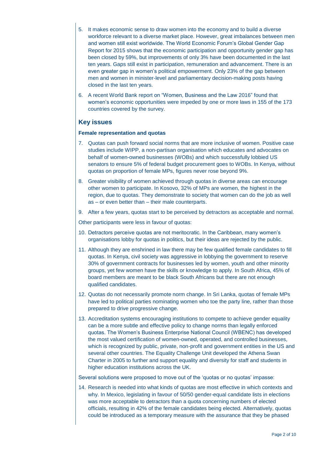- 5. It makes economic sense to draw women into the economy and to build a diverse workforce relevant to a diverse market place. However, great imbalances between men and women still exist worldwide. The World Economic Forum's Global Gender Gap Report for 2015 shows that the economic participation and opportunity gender gap has been closed by 59%, but improvements of only 3% have been documented in the last ten years. Gaps still exist in participation, remuneration and advancement. There is an even greater gap in women's political empowerment. Only 23% of the gap between men and women in minister-level and parliamentary decision-making posts having closed in the last ten years.
- 6. A recent World Bank report on "Women, Business and the Law 2016" found that women's economic opportunities were impeded by one or more laws in 155 of the 173 countries covered by the survey.

### **Key issues**

#### **Female representation and quotas**

- 7. Quotas can push forward social norms that are more inclusive of women. Positive case studies include WIPP, a non-partisan organisation which educates and advocates on behalf of women-owned businesses (WOBs) and which successfully lobbied US senators to ensure 5% of federal budget procurement goes to WOBs. In Kenya, without quotas on proportion of female MPs, figures never rose beyond 9%.
- 8. Greater visibility of women achieved through quotas in diverse areas can encourage other women to participate. In Kosovo, 32% of MPs are women, the highest in the region, due to quotas. They demonstrate to society that women can do the job as well as – or even better than – their male counterparts.
- 9. After a few years, quotas start to be perceived by detractors as acceptable and normal.

Other participants were less in favour of quotas:

- 10. Detractors perceive quotas are not meritocratic. In the Caribbean, many women's organisations lobby for quotas in politics, but their ideas are rejected by the public.
- 11. Although they are enshrined in law there may be few qualified female candidates to fill quotas. In Kenya, civil society was aggressive in lobbying the government to reserve 30% of government contracts for businesses led by women, youth and other minority groups, yet few women have the skills or knowledge to apply. In South Africa, 45% of board members are meant to be black South Africans but there are not enough qualified candidates.
- 12. Quotas do not necessarily promote norm change. In Sri Lanka, quotas of female MPs have led to political parties nominating women who toe the party line, rather than those prepared to drive progressive change.
- 13. Accreditation systems encouraging institutions to compete to achieve gender equality can be a more subtle and effective policy to change norms than legally enforced quotas. The Women's Business Enterprise National Council (WBENC) has developed the most valued certification of women-owned, operated, and controlled businesses, which is recognized by public, private, non-profit and government entities in the US and several other countries. The Equality Challenge Unit developed the Athena Swan Charter in 2005 to further and support equality and diversity for staff and students in higher education institutions across the UK.

Several solutions were proposed to move out of the 'quotas or no quotas' impasse:

14. Research is needed into what kinds of quotas are most effective in which contexts and why. In Mexico, legislating in favour of 50/50 gender-equal candidate lists in elections was more acceptable to detractors than a quota concerning numbers of elected officials, resulting in 42% of the female candidates being elected. Alternatively, quotas could be introduced as a temporary measure with the assurance that they be phased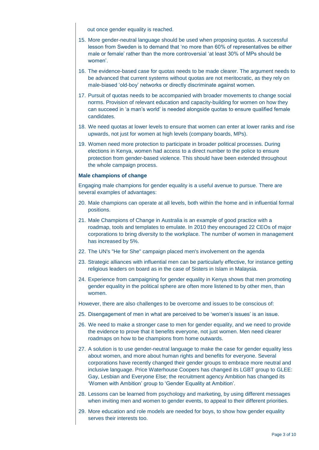out once gender equality is reached.

- 15. More gender-neutral language should be used when proposing quotas. A successful lesson from Sweden is to demand that 'no more than 60% of representatives be either male or female' rather than the more controversial 'at least 30% of MPs should be women'.
- 16. The evidence-based case for quotas needs to be made clearer. The argument needs to be advanced that current systems without quotas are not meritocratic, as they rely on male-biased 'old-boy' networks or directly discriminate against women.
- 17. Pursuit of quotas needs to be accompanied with broader movements to change social norms. Provision of relevant education and capacity-building for women on how they can succeed in 'a man's world' is needed alongside quotas to ensure qualified female candidates.
- 18. We need quotas at lower levels to ensure that women can enter at lower ranks and rise upwards, not just for women at high levels (company boards, MPs).
- 19. Women need more protection to participate in broader political processes. During elections in Kenya, women had access to a direct number to the police to ensure protection from gender-based violence. This should have been extended throughout the whole campaign process.

#### **Male champions of change**

Engaging male champions for gender equality is a useful avenue to pursue. There are several examples of advantages:

- 20. Male champions can operate at all levels, both within the home and in influential formal positions.
- 21. Male Champions of Change in Australia is an example of good practice with a roadmap, tools and templates to emulate. In 2010 they encouraged 22 CEOs of major corporations to bring diversity to the workplace. The number of women in management has increased by 5%.
- 22. The UN's "He for She" campaign placed men's involvement on the agenda
- 23. Strategic alliances with influential men can be particularly effective, for instance getting religious leaders on board as in the case of Sisters in Islam in Malaysia.
- 24. Experience from campaigning for gender equality in Kenya shows that men promoting gender equality in the political sphere are often more listened to by other men, than women.

However, there are also challenges to be overcome and issues to be conscious of:

- 25. Disengagement of men in what are perceived to be 'women's issues' is an issue.
- 26. We need to make a stronger case to men for gender equality, and we need to provide the evidence to prove that it benefits everyone, not just women. Men need clearer roadmaps on how to be champions from home outwards.
- 27. A solution is to use gender-neutral language to make the case for gender equality less about women, and more about human rights and benefits for everyone. Several corporations have recently changed their gender groups to embrace more neutral and inclusive language. Price Waterhouse Coopers has changed its LGBT group to GLEE: Gay, Lesbian and Everyone Else; the recruitment agency Ambition has changed its 'Women with Ambition' group to 'Gender Equality at Ambition'.
- 28. Lessons can be learned from psychology and marketing, by using different messages when inviting men and women to gender events, to appeal to their different priorities.
- 29. More education and role models are needed for boys, to show how gender equality serves their interests too.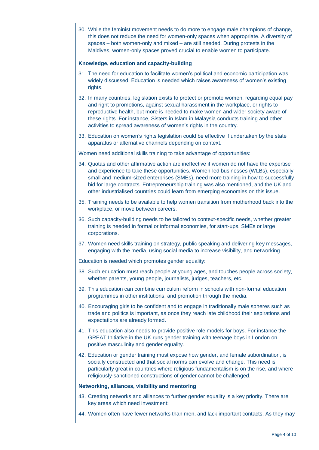30. While the feminist movement needs to do more to engage male champions of change, this does not reduce the need for women-only spaces when appropriate. A diversity of spaces – both women-only and mixed – are still needed. During protests in the Maldives, women-only spaces proved crucial to enable women to participate.

#### **Knowledge, education and capacity-building**

- 31. The need for education to facilitate women's political and economic participation was widely discussed. Education is needed which raises awareness of women's existing rights.
- 32. In many countries, legislation exists to protect or promote women, regarding equal pay and right to promotions, against sexual harassment in the workplace, or rights to reproductive health, but more is needed to make women and wider society aware of these rights. For instance, Sisters in Islam in Malaysia conducts training and other activities to spread awareness of women's rights in the country.
- 33. Education on women's rights legislation could be effective if undertaken by the state apparatus or alternative channels depending on context.

Women need additional skills training to take advantage of opportunities:

- 34. Quotas and other affirmative action are ineffective if women do not have the expertise and experience to take these opportunities. Women-led businesses (WLBs), especially small and medium-sized enterprises (SMEs), need more training in how to successfully bid for large contracts. Entrepreneurship training was also mentioned, and the UK and other industrialised countries could learn from emerging economies on this issue.
- 35. Training needs to be available to help women transition from motherhood back into the workplace, or move between careers.
- 36. Such capacity-building needs to be tailored to context-specific needs, whether greater training is needed in formal or informal economies, for start-ups, SMEs or large corporations.
- 37. Women need skills training on strategy, public speaking and delivering key messages, engaging with the media, using social media to increase visibility, and networking.

Education is needed which promotes gender equality:

- 38. Such education must reach people at young ages, and touches people across society, whether parents, young people, journalists, judges, teachers, etc.
- 39. This education can combine curriculum reform in schools with non-formal education programmes in other institutions, and promotion through the media.
- 40. Encouraging girls to be confident and to engage in traditionally male spheres such as trade and politics is important, as once they reach late childhood their aspirations and expectations are already formed.
- 41. This education also needs to provide positive role models for boys. For instance the GREAT Initiative in the UK runs gender training with teenage boys in London on positive masculinity and gender equality.
- 42. Education or gender training must expose how gender, and female subordination, is socially constructed and that social norms can evolve and change. This need is particularly great in countries where religious fundamentalism is on the rise, and where religiously-sanctioned constructions of gender cannot be challenged.

#### **Networking, alliances, visibility and mentoring**

- 43. Creating networks and alliances to further gender equality is a key priority. There are key areas which need investment:
- 44. Women often have fewer networks than men, and lack important contacts. As they may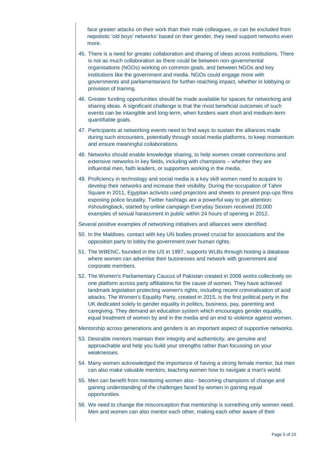face greater attacks on their work than their male colleagues, or can be excluded from nepotistic 'old boys' networks' based on their gender, they need support networks even more.

- 45. There is a need for greater collaboration and sharing of ideas across institutions. There is not as much collaboration as there could be between non-governmental organisations (NGOs) working on common goals, and between NGOs and key institutions like the government and media. NGOs could engage more with governments and parliamentarians for further-reaching impact, whether in lobbying or provision of training.
- 46. Greater funding opportunities should be made available for spaces for networking and sharing ideas. A significant challenge is that the most beneficial outcomes of such events can be intangible and long-term, when funders want short and medium-term quantifiable goals.
- 47. Participants at networking events need to find ways to sustain the alliances made during such encounters, potentially through social media platforms, to keep momentum and ensure meaningful collaborations.
- 48. Networks should enable knowledge sharing, to help women create connections and extensive networks in key fields, including with champions – whether they are influential men, faith leaders, or supporters working in the media.
- 49. Proficiency in technology and social media is a key skill women need to acquire to develop their networks and increase their visibility. During the occupation of Tahrir Square in 2011, Egyptian activists used projectors and sheets to present pop-ups films exposing police brutality. Twitter hashtags are a powerful way to get attention: #shoutingback, started by online campaign Everyday Sexism received 20,000 examples of sexual harassment in public within 24 hours of opening in 2012.

Several positive examples of networking initiatives and alliances were identified:

- 50. In the Maldives, contact with key UN bodies proved crucial for associations and the opposition party to lobby the government over human rights.
- 51. The WBENC, founded in the US in 1997, supports WLBs through hosting a database where women can advertise their businesses and network with government and corporate members.
- 52. The Women's Parliamentary Caucus of Pakistan created in 2008 works collectively on one platform across party affiliations for the cause of women. They have achieved landmark legislation protecting women's rights, including recent criminalisation of acid attacks. The Women's Equality Party, created in 2015, is the first political party in the UK dedicated solely to gender equality in politics, business, pay, parenting and caregiving. They demand an education system which encourages gender equality, equal treatment of women by and in the media and an end to violence against women.

Mentorship across generations and genders is an important aspect of supportive networks.

- 53. Desirable mentors maintain their integrity and authenticity, are genuine and approachable and help you build your strengths rather than focussing on your weaknesses.
- 54. Many women acknowledged the importance of having a strong female mentor, but men can also make valuable mentors, teaching women how to navigate a man's world.
- 55. Men can benefit from mentoring women also becoming champions of change and gaining understanding of the challenges faced by women in gaining equal opportunities.
- 56. We need to change the misconception that mentorship is something only women need. Men and women can also mentor each other, making each other aware of their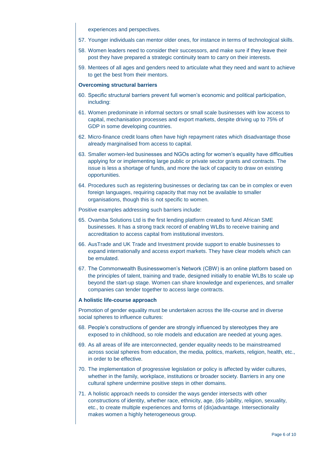experiences and perspectives.

- 57. Younger individuals can mentor older ones, for instance in terms of technological skills.
- 58. Women leaders need to consider their successors, and make sure if they leave their post they have prepared a strategic continuity team to carry on their interests.
- 59. Mentees of all ages and genders need to articulate what they need and want to achieve to get the best from their mentors.

#### **Overcoming structural barriers**

- 60. Specific structural barriers prevent full women's economic and political participation, including:
- 61. Women predominate in informal sectors or small scale businesses with low access to capital, mechanisation processes and export markets, despite driving up to 75% of GDP in some developing countries.
- 62. Micro-finance credit loans often have high repayment rates which disadvantage those already marginalised from access to capital.
- 63. Smaller women-led businesses and NGOs acting for women's equality have difficulties applying for or implementing large public or private sector grants and contracts. The issue is less a shortage of funds, and more the lack of capacity to draw on existing opportunities.
- 64. Procedures such as registering businesses or declaring tax can be in complex or even foreign languages, requiring capacity that may not be available to smaller organisations, though this is not specific to women.

Positive examples addressing such barriers include:

- 65. Ovamba Solutions Ltd is the first lending platform created to fund African SME businesses. It has a strong track record of enabling WLBs to receive training and accreditation to access capital from institutional investors.
- 66. AusTrade and UK Trade and Investment provide support to enable businesses to expand internationally and access export markets. They have clear models which can be emulated.
- 67. The Commonwealth Businesswomen's Network (CBW) is an online platform based on the principles of talent, training and trade, designed initially to enable WLBs to scale up beyond the start-up stage. Women can share knowledge and experiences, and smaller companies can tender together to access large contracts.

#### **A holistic life-course approach**

Promotion of gender equality must be undertaken across the life-course and in diverse social spheres to influence cultures:

- 68. People's constructions of gender are strongly influenced by stereotypes they are exposed to in childhood, so role models and education are needed at young ages.
- 69. As all areas of life are interconnected, gender equality needs to be mainstreamed across social spheres from education, the media, politics, markets, religion, health, etc., in order to be effective.
- 70. The implementation of progressive legislation or policy is affected by wider cultures, whether in the family, workplace, institutions or broader society. Barriers in any one cultural sphere undermine positive steps in other domains.
- 71. A holistic approach needs to consider the ways gender intersects with other constructions of identity, whether race, ethnicity, age, (dis-)ability, religion, sexuality, etc., to create multiple experiences and forms of (dis)advantage. Intersectionality makes women a highly heterogeneous group.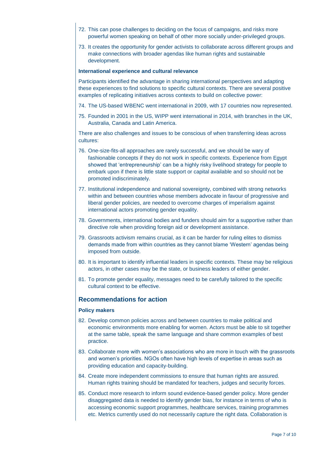- 72. This can pose challenges to deciding on the focus of campaigns, and risks more powerful women speaking on behalf of other more socially under-privileged groups.
- 73. It creates the opportunity for gender activists to collaborate across different groups and make connections with broader agendas like human rights and sustainable development.

#### **International experience and cultural relevance**

Participants identified the advantage in sharing international perspectives and adapting these experiences to find solutions to specific cultural contexts. There are several positive examples of replicating initiatives across contexts to build on collective power:

- 74. The US-based WBENC went international in 2009, with 17 countries now represented.
- 75. Founded in 2001 in the US, WIPP went international in 2014, with branches in the UK, Australia, Canada and Latin America.

There are also challenges and issues to be conscious of when transferring ideas across cultures:

- 76. One-size-fits-all approaches are rarely successful, and we should be wary of fashionable concepts if they do not work in specific contexts. Experience from Egypt showed that 'entrepreneurship' can be a highly risky livelihood strategy for people to embark upon if there is little state support or capital available and so should not be promoted indiscriminately.
- 77. Institutional independence and national sovereignty, combined with strong networks within and between countries whose members advocate in favour of progressive and liberal gender policies, are needed to overcome charges of imperialism against international actors promoting gender equality.
- 78. Governments, international bodies and funders should aim for a supportive rather than directive role when providing foreign aid or development assistance.
- 79. Grassroots activism remains crucial, as it can be harder for ruling elites to dismiss demands made from within countries as they cannot blame 'Western' agendas being imposed from outside.
- 80. It is important to identify influential leaders in specific contexts. These may be religious actors, in other cases may be the state, or business leaders of either gender.
- 81. To promote gender equality, messages need to be carefully tailored to the specific cultural context to be effective.

### **Recommendations for action**

#### **Policy makers**

- 82. Develop common policies across and between countries to make political and economic environments more enabling for women. Actors must be able to sit together at the same table, speak the same language and share common examples of best practice.
- 83. Collaborate more with women's associations who are more in touch with the grassroots and women's priorities. NGOs often have high levels of expertise in areas such as providing education and capacity-building.
- 84. Create more independent commissions to ensure that human rights are assured. Human rights training should be mandated for teachers, judges and security forces.
- 85. Conduct more research to inform sound evidence-based gender policy. More gender disaggregated data is needed to identify gender bias, for instance in terms of who is accessing economic support programmes, healthcare services, training programmes etc. Metrics currently used do not necessarily capture the right data. Collaboration is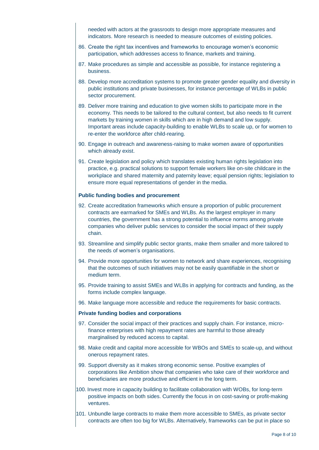needed with actors at the grassroots to design more appropriate measures and indicators. More research is needed to measure outcomes of existing policies.

- 86. Create the right tax incentives and frameworks to encourage women's economic participation, which addresses access to finance, markets and training.
- 87. Make procedures as simple and accessible as possible, for instance registering a business.
- 88. Develop more accreditation systems to promote greater gender equality and diversity in public institutions and private businesses, for instance percentage of WLBs in public sector procurement.
- 89. Deliver more training and education to give women skills to participate more in the economy. This needs to be tailored to the cultural context, but also needs to fit current markets by training women in skills which are in high demand and low supply. Important areas include capacity-building to enable WLBs to scale up, or for women to re-enter the workforce after child-rearing.
- 90. Engage in outreach and awareness-raising to make women aware of opportunities which already exist.
- 91. Create legislation and policy which translates existing human rights legislation into practice, e.g. practical solutions to support female workers like on-site childcare in the workplace and shared maternity and paternity leave; equal pension rights; legislation to ensure more equal representations of gender in the media.

#### **Public funding bodies and procurement**

- 92. Create accreditation frameworks which ensure a proportion of public procurement contracts are earmarked for SMEs and WLBs. As the largest employer in many countries, the government has a strong potential to influence norms among private companies who deliver public services to consider the social impact of their supply chain.
- 93. Streamline and simplify public sector grants, make them smaller and more tailored to the needs of women's organisations.
- 94. Provide more opportunities for women to network and share experiences, recognising that the outcomes of such initiatives may not be easily quantifiable in the short or medium term.
- 95. Provide training to assist SMEs and WLBs in applying for contracts and funding, as the forms include complex language.
- 96. Make language more accessible and reduce the requirements for basic contracts.

#### **Private funding bodies and corporations**

- 97. Consider the social impact of their practices and supply chain. For instance, microfinance enterprises with high repayment rates are harmful to those already marginalised by reduced access to capital.
- 98. Make credit and capital more accessible for WBOs and SMEs to scale-up, and without onerous repayment rates.
- 99. Support diversity as it makes strong economic sense. Positive examples of corporations like Ambition show that companies who take care of their workforce and beneficiaries are more productive and efficient in the long term.
- 100. Invest more in capacity building to facilitate collaboration with WOBs, for long-term positive impacts on both sides. Currently the focus in on cost-saving or profit-making ventures.
- 101. Unbundle large contracts to make them more accessible to SMEs, as private sector contracts are often too big for WLBs. Alternatively, frameworks can be put in place so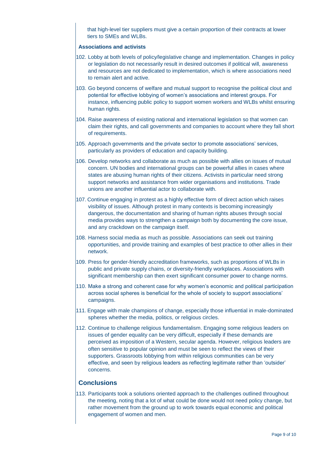that high-level tier suppliers must give a certain proportion of their contracts at lower tiers to SMEs and WLBs.

#### **Associations and activists**

- 102. Lobby at both levels of policy/legislative change and implementation. Changes in policy or legislation do not necessarily result in desired outcomes if political will, awareness and resources are not dedicated to implementation, which is where associations need to remain alert and active.
- 103. Go beyond concerns of welfare and mutual support to recognise the political clout and potential for effective lobbying of women's associations and interest groups. For instance, influencing public policy to support women workers and WLBs whilst ensuring human rights.
- 104. Raise awareness of existing national and international legislation so that women can claim their rights, and call governments and companies to account where they fall short of requirements.
- 105. Approach governments and the private sector to promote associations' services, particularly as providers of education and capacity building.
- 106. Develop networks and collaborate as much as possible with allies on issues of mutual concern. UN bodies and international groups can be powerful allies in cases where states are abusing human rights of their citizens. Activists in particular need strong support networks and assistance from wider organisations and institutions. Trade unions are another influential actor to collaborate with.
- 107. Continue engaging in protest as a highly effective form of direct action which raises visibility of issues. Although protest in many contexts is becoming increasingly dangerous, the documentation and sharing of human rights abuses through social media provides ways to strengthen a campaign both by documenting the core issue, and any crackdown on the campaign itself.
- 108. Harness social media as much as possible. Associations can seek out training opportunities, and provide training and examples of best practice to other allies in their network.
- 109. Press for gender-friendly accreditation frameworks, such as proportions of WLBs in public and private supply chains, or diversity-friendly workplaces. Associations with significant membership can then exert significant consumer power to change norms.
- 110. Make a strong and coherent case for why women's economic and political participation across social spheres is beneficial for the whole of society to support associations' campaigns.
- 111. Engage with male champions of change, especially those influential in male-dominated spheres whether the media, politics, or religious circles.
- 112. Continue to challenge religious fundamentalism. Engaging some religious leaders on issues of gender equality can be very difficult, especially if these demands are perceived as imposition of a Western, secular agenda. However, religious leaders are often sensitive to popular opinion and must be seen to reflect the views of their supporters. Grassroots lobbying from within religious communities can be very effective, and seen by religious leaders as reflecting legitimate rather than 'outsider' concerns.

### **Conclusions**

113. Participants took a solutions oriented approach to the challenges outlined throughout the meeting, noting that a lot of what could be done would not need policy change, but rather movement from the ground up to work towards equal economic and political engagement of women and men.